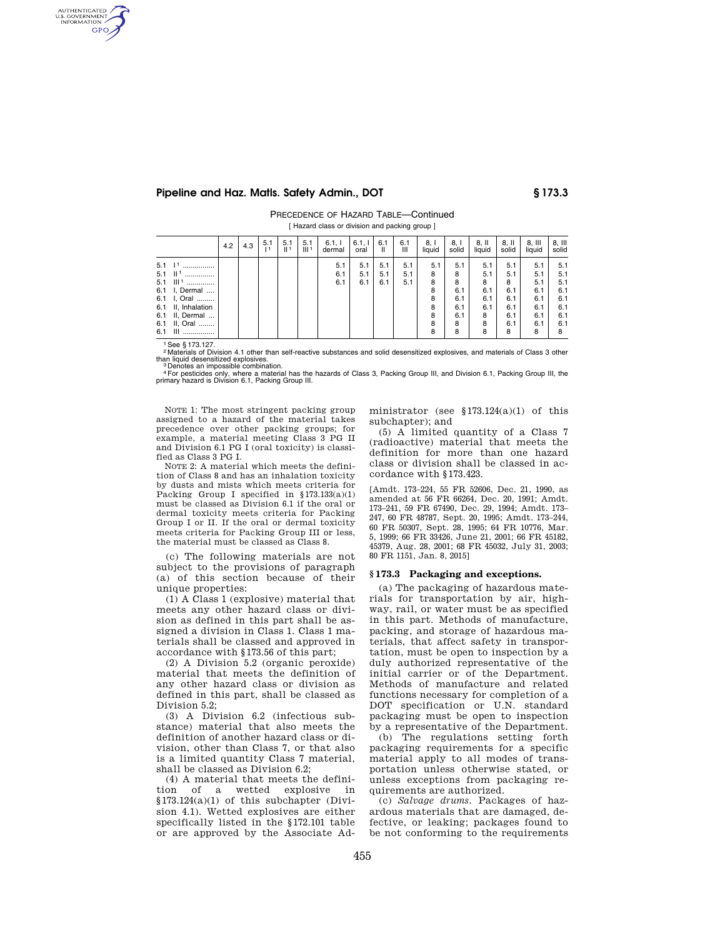## **Pipeline and Haz. Matls. Safety Admin., DOT § 173.3**

PRECEDENCE OF HAZARD TABLE—Continued [ Hazard class or division and packing group ]

|                                                                                                                                                              | 4.2 | 4.3 | 5.1<br>$\mathbf{1}$ | 5.1<br>  1 | 5.1<br>III <sup>1</sup> | 6.1, 1<br>dermal  | 6.1, 1<br>oral    | 6.1<br>Ш          | 6.1<br>Ш          | 8, I<br>liquid                              | 8. I<br>solid                                       | $8,$ II<br>liquid                                   | 8. II<br>solid                                          | $8,$ III<br>liauid                                        | $8,$ III<br>solid                                         |
|--------------------------------------------------------------------------------------------------------------------------------------------------------------|-----|-----|---------------------|------------|-------------------------|-------------------|-------------------|-------------------|-------------------|---------------------------------------------|-----------------------------------------------------|-----------------------------------------------------|---------------------------------------------------------|-----------------------------------------------------------|-----------------------------------------------------------|
| $5.1$ $11$<br><br>  1<br>5.1<br><br>$III1$<br>5.1<br>6.1 I, Dermal<br>6.1 I, Oral<br>6.1 II, Inhalation<br>6.1 II, Dermal<br>II, Oral<br>6.1<br>Ш<br>6.1<br> |     |     |                     |            |                         | 5.1<br>6.1<br>6.1 | 5.1<br>5.1<br>6.1 | 5.1<br>5.1<br>6.1 | 5.1<br>5.1<br>5.1 | 5.1<br>8<br>8<br>8<br>8<br>8<br>8<br>8<br>8 | 5.1<br>8<br>8<br>6.1<br>6.1<br>6.1<br>6.1<br>8<br>8 | 5.1<br>5.1<br>8<br>6.1<br>6.1<br>6.1<br>8<br>8<br>8 | 5.1<br>5.1<br>8<br>6.1<br>6.1<br>6.1<br>6.1<br>6.1<br>8 | 5.1<br>5.1<br>5.1<br>6.1<br>6.1<br>6.1<br>6.1<br>6.1<br>8 | 5.1<br>5.1<br>5.1<br>6.1<br>6.1<br>6.1<br>6.1<br>6.1<br>8 |

See § 173.127.

AUTHENTICATED<br>U.S. GOVERNMENT<br>INFORMATION **GPO** 

> 2 Materials of Division 4.1 other than self-reactive substances and solid desensitized explosives, and materials of Class 3 other than liquid desensitized explosives. 3 Denotes an impossible combination.

4For pesticides only, where a material has the hazards of Class 3, Packing Group III, and Division 6.1, Packing Group III, the primary hazard is Division 6.1, Packing Group III.

NOTE 1: The most stringent packing group assigned to a hazard of the material takes precedence over other packing groups; for example, a material meeting Class 3 PG II and Division 6.1 PG I (oral toxicity) is classified as Class 3 PG I.

NOTE 2: A material which meets the definition of Class 8 and has an inhalation toxicity by dusts and mists which meets criteria for Packing Group I specified in  $$173.133(a)(1)$ must be classed as Division 6.1 if the oral or dermal toxicity meets criteria for Packing Group I or II. If the oral or dermal toxicity meets criteria for Packing Group III or less, the material must be classed as Class 8.

(c) The following materials are not subject to the provisions of paragraph (a) of this section because of their unique properties:

(1) A Class 1 (explosive) material that meets any other hazard class or division as defined in this part shall be assigned a division in Class 1. Class 1 materials shall be classed and approved in accordance with §173.56 of this part;

(2) A Division 5.2 (organic peroxide) material that meets the definition of any other hazard class or division as defined in this part, shall be classed as Division 5.2;

(3) A Division 6.2 (infectious substance) material that also meets the definition of another hazard class or division, other than Class 7, or that also is a limited quantity Class 7 material, shall be classed as Division 6.2;

(4) A material that meets the definition of a wetted explosive in §173.124(a)(1) of this subchapter (Division 4.1). Wetted explosives are either specifically listed in the §172.101 table or are approved by the Associate Administrator (see §173.124(a)(1) of this subchapter); and

(5) A limited quantity of a Class 7 (radioactive) material that meets the definition for more than one hazard class or division shall be classed in accordance with §173.423.

[Amdt. 173–224, 55 FR 52606, Dec. 21, 1990, as amended at 56 FR 66264, Dec. 20, 1991; Amdt. 173–241, 59 FR 67490, Dec. 29, 1994; Amdt. 173– 247, 60 FR 48787, Sept. 20, 1995; Amdt. 173–244, 60 FR 50307, Sept. 28, 1995; 64 FR 10776, Mar. 5, 1999; 66 FR 33426, June 21, 2001; 66 FR 45182, 45379, Aug. 28, 2001; 68 FR 45032, July 31, 2003; 80 FR 1151, Jan. 8, 2015]

## **§ 173.3 Packaging and exceptions.**

(a) The packaging of hazardous materials for transportation by air, highway, rail, or water must be as specified in this part. Methods of manufacture, packing, and storage of hazardous materials, that affect safety in transportation, must be open to inspection by a duly authorized representative of the initial carrier or of the Department. Methods of manufacture and related functions necessary for completion of a DOT specification or U.N. standard packaging must be open to inspection by a representative of the Department.

(b) The regulations setting forth packaging requirements for a specific material apply to all modes of transportation unless otherwise stated, or unless exceptions from packaging requirements are authorized.

(c) *Salvage drums.* Packages of hazardous materials that are damaged, defective, or leaking; packages found to be not conforming to the requirements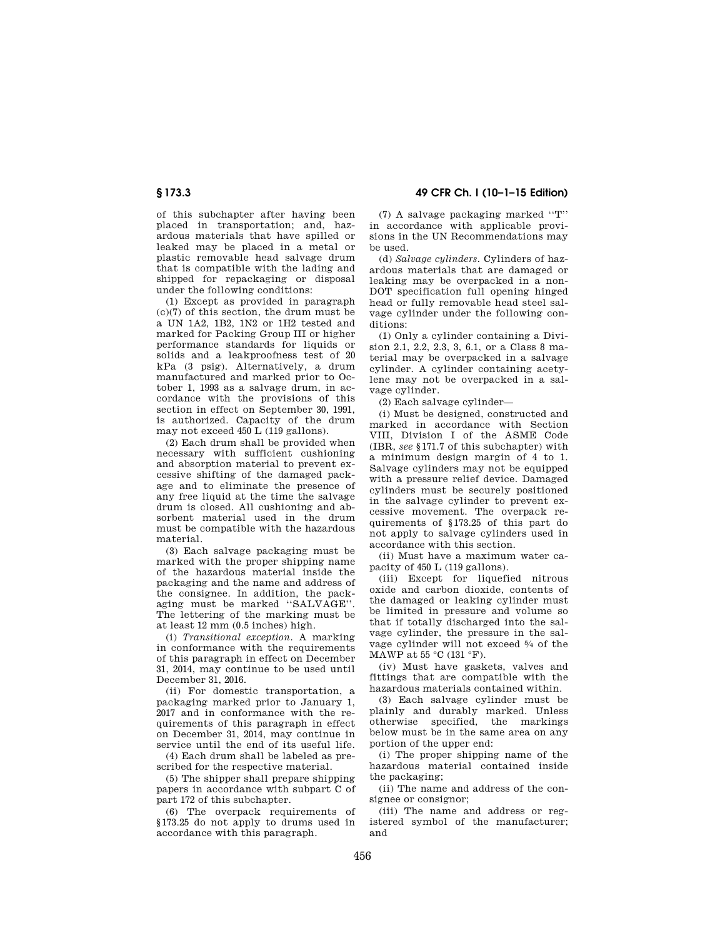of this subchapter after having been placed in transportation; and, hazardous materials that have spilled or leaked may be placed in a metal or plastic removable head salvage drum that is compatible with the lading and shipped for repackaging or disposal under the following conditions:

(1) Except as provided in paragraph (c)(7) of this section, the drum must be a UN 1A2, 1B2, 1N2 or 1H2 tested and marked for Packing Group III or higher performance standards for liquids or solids and a leakproofness test of 20 kPa (3 psig). Alternatively, a drum manufactured and marked prior to October 1, 1993 as a salvage drum, in accordance with the provisions of this section in effect on September 30, 1991, is authorized. Capacity of the drum may not exceed 450 L (119 gallons).

(2) Each drum shall be provided when necessary with sufficient cushioning and absorption material to prevent excessive shifting of the damaged package and to eliminate the presence of any free liquid at the time the salvage drum is closed. All cushioning and absorbent material used in the drum must be compatible with the hazardous material.

(3) Each salvage packaging must be marked with the proper shipping name of the hazardous material inside the packaging and the name and address of the consignee. In addition, the packaging must be marked ''SALVAGE''. The lettering of the marking must be at least 12 mm (0.5 inches) high.

(i) *Transitional exception.* A marking in conformance with the requirements of this paragraph in effect on December 31, 2014, may continue to be used until December 31, 2016.

(ii) For domestic transportation, a packaging marked prior to January 1, 2017 and in conformance with the requirements of this paragraph in effect on December 31, 2014, may continue in service until the end of its useful life.

(4) Each drum shall be labeled as prescribed for the respective material.

(5) The shipper shall prepare shipping papers in accordance with subpart C of part 172 of this subchapter.

(6) The overpack requirements of §173.25 do not apply to drums used in accordance with this paragraph.

**§ 173.3 49 CFR Ch. I (10–1–15 Edition)** 

(7) A salvage packaging marked ''T'' in accordance with applicable provisions in the UN Recommendations may be used.

(d) *Salvage cylinders.* Cylinders of hazardous materials that are damaged or leaking may be overpacked in a non-DOT specification full opening hinged head or fully removable head steel salvage cylinder under the following conditions:

(1) Only a cylinder containing a Division 2.1, 2.2, 2.3, 3, 6.1, or a Class 8 material may be overpacked in a salvage cylinder. A cylinder containing acetylene may not be overpacked in a salvage cylinder.

(2) Each salvage cylinder—

(i) Must be designed, constructed and marked in accordance with Section VIII, Division I of the ASME Code (IBR, *see* §171.7 of this subchapter) with a minimum design margin of 4 to 1. Salvage cylinders may not be equipped with a pressure relief device. Damaged cylinders must be securely positioned in the salvage cylinder to prevent excessive movement. The overpack requirements of §173.25 of this part do not apply to salvage cylinders used in accordance with this section.

(ii) Must have a maximum water capacity of 450 L (119 gallons).

(iii) Except for liquefied nitrous oxide and carbon dioxide, contents of the damaged or leaking cylinder must be limited in pressure and volume so that if totally discharged into the salvage cylinder, the pressure in the salvage cylinder will not exceed 5⁄4 of the MAWP at 55 °C (131 °F).

(iv) Must have gaskets, valves and fittings that are compatible with the hazardous materials contained within.

(3) Each salvage cylinder must be plainly and durably marked. Unless otherwise specified, the markings below must be in the same area on any portion of the upper end:

(i) The proper shipping name of the hazardous material contained inside the packaging;

(ii) The name and address of the consignee or consignor;

(iii) The name and address or registered symbol of the manufacturer; and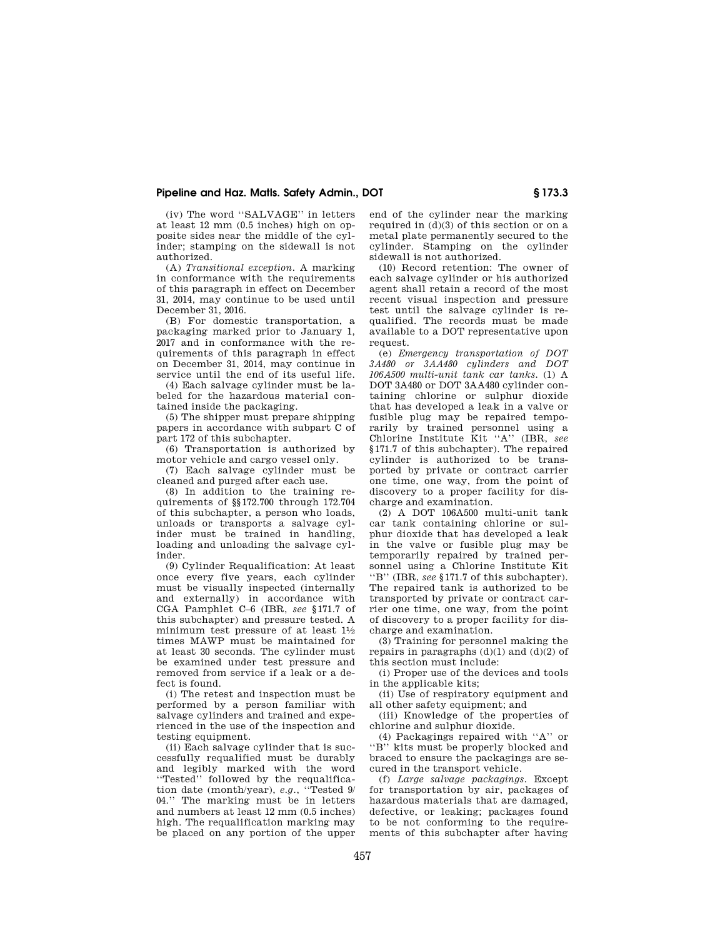## **Pipeline and Haz. Matls. Safety Admin., DOT § 173.3**

(iv) The word ''SALVAGE'' in letters at least 12 mm (0.5 inches) high on opposite sides near the middle of the cylinder; stamping on the sidewall is not authorized.

(A) *Transitional exception.* A marking in conformance with the requirements of this paragraph in effect on December 31, 2014, may continue to be used until December 31, 2016.

(B) For domestic transportation, a packaging marked prior to January 1, 2017 and in conformance with the requirements of this paragraph in effect on December 31, 2014, may continue in service until the end of its useful life.

(4) Each salvage cylinder must be labeled for the hazardous material contained inside the packaging.

(5) The shipper must prepare shipping papers in accordance with subpart C of part 172 of this subchapter.

(6) Transportation is authorized by motor vehicle and cargo vessel only.

(7) Each salvage cylinder must be cleaned and purged after each use.

(8) In addition to the training requirements of §§172.700 through 172.704 of this subchapter, a person who loads, unloads or transports a salvage cylinder must be trained in handling, loading and unloading the salvage cylinder.

(9) Cylinder Requalification: At least once every five years, each cylinder must be visually inspected (internally and externally) in accordance with CGA Pamphlet C–6 (IBR, *see* §171.7 of this subchapter) and pressure tested. A minimum test pressure of at least 11⁄2 times MAWP must be maintained for at least 30 seconds. The cylinder must be examined under test pressure and removed from service if a leak or a defect is found.

(i) The retest and inspection must be performed by a person familiar with salvage cylinders and trained and experienced in the use of the inspection and testing equipment.

(ii) Each salvage cylinder that is successfully requalified must be durably and legibly marked with the word ''Tested'' followed by the requalification date (month/year), *e.g.*, ''Tested 9/ 04.'' The marking must be in letters and numbers at least 12 mm (0.5 inches) high. The requalification marking may be placed on any portion of the upper end of the cylinder near the marking required in  $(d)(3)$  of this section or on a metal plate permanently secured to the cylinder. Stamping on the cylinder sidewall is not authorized.

(10) Record retention: The owner of each salvage cylinder or his authorized agent shall retain a record of the most recent visual inspection and pressure test until the salvage cylinder is requalified. The records must be made available to a DOT representative upon request.

(e) *Emergency transportation of DOT 3A480 or 3AA480 cylinders and DOT 106A500 multi-unit tank car tanks.* (1) A DOT 3A480 or DOT 3AA480 cylinder containing chlorine or sulphur dioxide that has developed a leak in a valve or fusible plug may be repaired temporarily by trained personnel using a Chlorine Institute Kit ''A'' (IBR, *see*  §171.7 of this subchapter). The repaired cylinder is authorized to be transported by private or contract carrier one time, one way, from the point of discovery to a proper facility for discharge and examination.

(2) A DOT 106A500 multi-unit tank car tank containing chlorine or sulphur dioxide that has developed a leak in the valve or fusible plug may be temporarily repaired by trained personnel using a Chlorine Institute Kit ''B'' (IBR, *see* §171.7 of this subchapter). The repaired tank is authorized to be transported by private or contract carrier one time, one way, from the point of discovery to a proper facility for discharge and examination.

(3) Training for personnel making the repairs in paragraphs  $(d)(1)$  and  $(d)(2)$  of this section must include:

(i) Proper use of the devices and tools in the applicable kits;

(ii) Use of respiratory equipment and all other safety equipment; and

(iii) Knowledge of the properties of chlorine and sulphur dioxide.

(4) Packagings repaired with ''A'' or "B" kits must be properly blocked and braced to ensure the packagings are secured in the transport vehicle.

(f) *Large salvage packagings.* Except for transportation by air, packages of hazardous materials that are damaged, defective, or leaking; packages found to be not conforming to the requirements of this subchapter after having